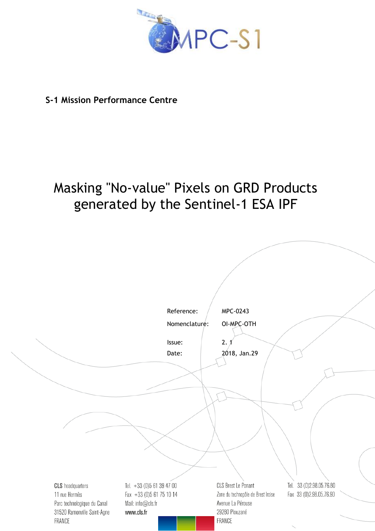

# **S-1 Mission Performance Centre**

# Masking "No-value" Pixels on GRD Products generated by the Sentinel-1 ESA IPF

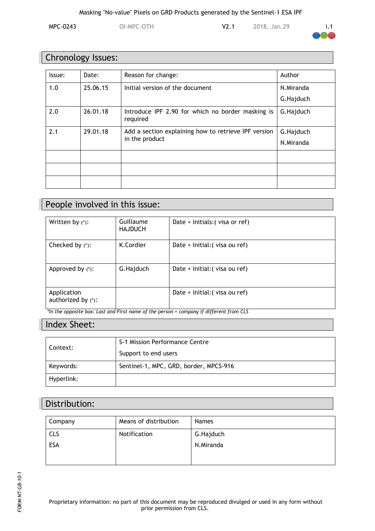MPC-0243 OI-MPC-OTH V2.1 2018, Jan.29 i.1



# Chronology Issues:

| Issue: | Date:    | Reason for change:                                                     | Author    |
|--------|----------|------------------------------------------------------------------------|-----------|
| 1.0    | 25.06.15 | Initial version of the document                                        | N.Miranda |
|        |          |                                                                        | G.Hajduch |
| 2.0    | 26.01.18 | Introduce IPF 2.90 for which no border masking is<br>required          | G.Hajduch |
| 2.1    | 29.01.18 | Add a section explaining how to retrieve IPF version<br>in the product | G.Hajduch |
|        |          |                                                                        | N.Miranda |
|        |          |                                                                        |           |
|        |          |                                                                        |           |
|        |          |                                                                        |           |

# People involved in this issue:

| Written by $(*)$ :                               | Guillaume<br><b>HAJDUCH</b>       | Date + Initials: (visa or ref)                      |
|--------------------------------------------------|-----------------------------------|-----------------------------------------------------|
| Checked by $(*)$ :                               | K.Cordier                         | Date + Initial: (visa ou ref)                       |
| Approved by (*):                                 | G.Hajduch                         | Date + Initial: (visa ou ref)                       |
| Application<br>authorized by $(*)$ :<br>$\cdots$ | $- \cdot$<br>$\sim$ $\sim$ $\sim$ | Date + Initial: (visa ou ref)<br>$\cdots$<br>$\sim$ |

*\*In the opposite box: Last and First name of the person + company if different from CLS*

## Index Sheet:

| Context:   | S-1 Mission Performance Centre         |
|------------|----------------------------------------|
|            | Support to end users                   |
| Keywords:  | Sentinel-1, MPC, GRD, border, MPCS-916 |
| Hyperlink: |                                        |

# Distribution:

| Company    | Means of distribution | <b>Names</b> |
|------------|-----------------------|--------------|
| <b>CLS</b> | Notification          | G.Hajduch    |
| ESA        |                       | N.Miranda    |
|            |                       |              |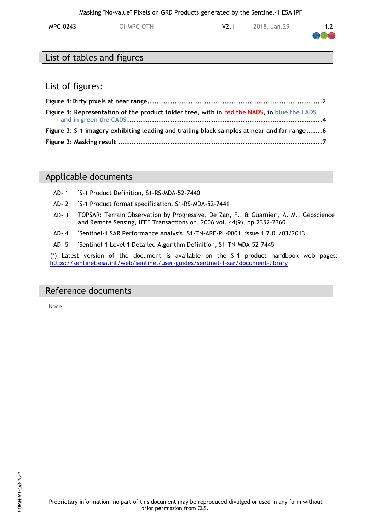| MPC-0243 | OI-MPC-OTH | 2018, Jan.29 | i.2 |
|----------|------------|--------------|-----|
|          |            |              |     |

## List of tables and figures

#### List of figures:

| Figure 1: Representation of the product folder tree, with in red the NADS, in blue the LADS |  |
|---------------------------------------------------------------------------------------------|--|
| Figure 3: S-1 imagery exhibiting leading and trailing black samples at near and far range6  |  |
|                                                                                             |  |

# Applicable documents

- AD- 1 \*S-1 Product Definition, S1-RS-MDA-52-7440
- AD- 2 \*S-1 Product format specification, S1-RS-MDA-52-7441
- AD- 3 TOPSAR: Terrain Observation by Progressive, De Zan, F., & Guarnieri, A. M., Geoscience and Remote Sensing, IEEE Transactions on, 2006 vol. 44(9), pp.2352–2360.
- AD- 4 \*Sentinel-1 SAR Performance Analysis, S1-TN-ARE-PL-0001, issue 1.7,01/03/2013
- AD- 5 \*Sentinel-1 Level 1 Detailed Algorithm Definition, S1-TN-MDA-52-7445

(\*) Latest version of the document is available on the S-1 product handbook web pages: <https://sentinel.esa.int/web/sentinel/user-guides/sentinel-1-sar/document-library>

#### Reference documents

None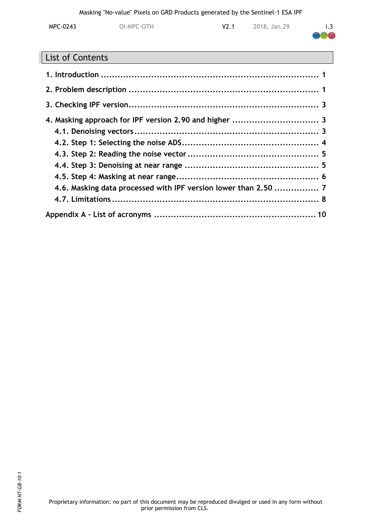| MPC-0243 | OI-MPC-OTH | V2.1 | 2018, Jan.29 | i.3       |
|----------|------------|------|--------------|-----------|
|          |            |      |              | <b>RA</b> |

# List of Contents

| 4.6. Masking data processed with IPF version lower than 2.50  7 |  |
|-----------------------------------------------------------------|--|
|                                                                 |  |
|                                                                 |  |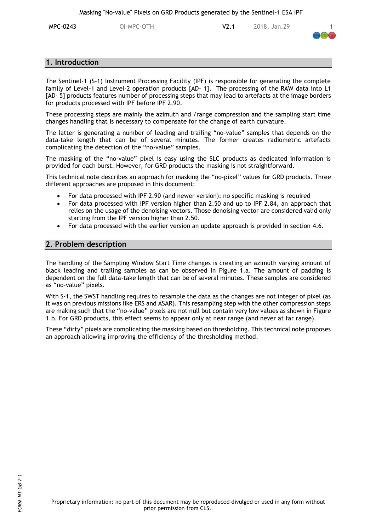**MPC-0243** OI-MPC-OTH V2.1 2018, Jan.29



#### <span id="page-4-0"></span>**1. Introduction**

The Sentinel-1 (S-1) Instrument Processing Facility (IPF) is responsible for generating the complete family of Level-1 and Level-2 operation products [AD- 1]. The processing of the RAW data into L1 [AD- 5] products features number of processing steps that may lead to artefacts at the image borders for products processed with IPF before IPF 2.90.

These processing steps are mainly the azimuth and /range compression and the sampling start time changes handling that is necessary to compensate for the change of earth curvature.

The latter is generating a number of leading and trailing "no-value" samples that depends on the data-take length that can be of several minutes. The former creates radiometric artefacts complicating the detection of the "no-value" samples.

The masking of the "no-value" pixel is easy using the SLC products as dedicated information is provided for each burst. However, for GRD products the masking is not straightforward.

This technical note describes an approach for masking the "no-pixel" values for GRD products. Three different approaches are proposed in this document:

- For data processed with IPF 2.90 (and newer version): no specific masking is required
- For data processed with IPF version higher than 2.50 and up to IPF 2.84, an approach that relies on the usage of the denoising vectors. Those denoising vector are considered valid only starting from the IPF version higher than 2.50.
- For data processed with the earlier version an update approach is provided in section [4.6.](#page-10-1)

#### <span id="page-4-1"></span>**2. Problem description**

The handling of the Sampling Window Start Time changes is creating an azimuth varying amount of black leading and trailing samples as can be observed in [Figure 1.](#page-5-0)a. The amount of padding is dependent on the full data-take length that can be of several minutes. These samples are considered as "no-value" pixels.

With S-1, the SWST handling requires to resample the data as the changes are not integer of pixel (as it was on previous missions like ERS and ASAR). This resampling step with the other compression steps are making such that the "no-value" pixels are not null but contain very low values as shown in [Figure](#page-5-0)  [1.](#page-5-0)b. For GRD products, this effect seems to appear only at near range (and never at far range).

These "dirty" pixels are complicating the masking based on thresholding. This technical note proposes an approach allowing improving the efficiency of the thresholding method.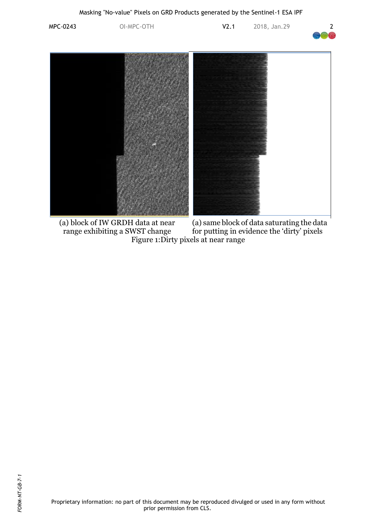

<span id="page-5-0"></span>(a) block of IW GRDH data at near range exhibiting a SWST change (a) same block of data saturating the data for putting in evidence the 'dirty' pixels Figure 1:Dirty pixels at near range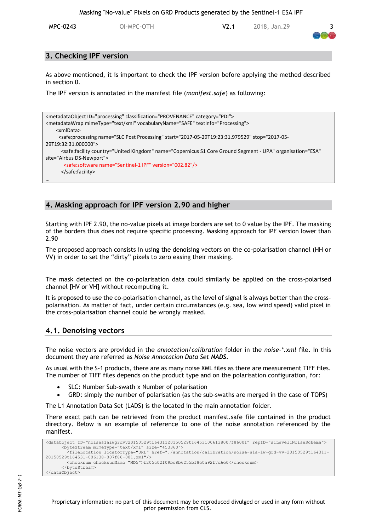MPC-0243 OI-MPC-OTH V2.1 2018, Jan.29 3



#### <span id="page-6-0"></span>**3. Checking IPF version**

As above mentioned, it is important to check the IPF version before applying the method described in section [0.](#page-6-3)

The IPF version is annotated in the manifest file (*manifest.safe*) as following:

```
<metadataObject ID="processing" classification="PROVENANCE" category="PDI">
<metadataWrap mimeType="text/xml" vocabularyName="SAFE" textInfo="Processing">
     <xmlData>
      <safe:processing name="SLC Post Processing" start="2017-05-29T19:23:31.979529" stop="2017-05-
29T19:32:31.000000">
      <safe:facility country="United Kingdom" name="Copernicus S1 Core Ground Segment - UPA" organisation="ESA"
site="Airbus DS-Newport">
        <safe:software name="Sentinel-1 IPF" version="002.82"/>
       </safe:facility>
…
```
#### <span id="page-6-1"></span>**4. Masking approach for IPF version 2.90 and higher**

<span id="page-6-3"></span>Starting with IPF 2.90, the no-value pixels at image borders are set to 0 value by the IPF. The masking of the borders thus does not require specific processing. Masking approach for IPF version lower than 2.90

The proposed approach consists in using the denoising vectors on the co-polarisation channel (HH or VV) in order to set the "dirty" pixels to zero easing their masking.

The mask detected on the co-polarisation data could similarly be applied on the cross-polarised channel [HV or VH] without recomputing it.

It is proposed to use the co-polarisation channel, as the level of signal is always better than the crosspolarisation. As matter of fact, under certain circumstances (e.g. sea, low wind speed) valid pixel in the cross-polarisation channel could be wrongly masked.

#### <span id="page-6-2"></span>**4.1. Denoising vectors**

The noise vectors are provided in the *annotation/calibration* folder in the *noise-\*.xml* file. In this document they are referred as *Noise Annotation Data Set NADS*.

As usual with the S-1 products, there are as many noise XML files as there are measurement TIFF files. The number of TIFF files depends on the product type and on the polarisation configuration, for:

- SLC: Number Sub-swath x Number of polarisation
- GRD: simply the number of polarisation (as the sub-swaths are merged in the case of TOPS)

The L1 Annotation Data Set (LADS) is the located in the main annotation folder.

There exact path can be retrieved from the product manifest.safe file contained in the product directory. Below is an example of reference to one of the noise annotation referenced by the manifest.

```
<dataObject ID="noises1aiwgrdvv20150529t16431120150529t164531006138007f86001" repID="s1Level1NoiseSchema">
       <byteStream mimeType="text/xml" size="453360">
         <fileLocation locatorType="URL" href="./annotation/calibration/noise-s1a-iw-grd-vv-20150529t164311-
20150529t164531-006138-007f86-001.xml"/>
         <checksum checksumName="MD5">f205c02f09be8b6255bf8e0a92f7d6e0</checksum>
       </byteStream>
</dataObject>
```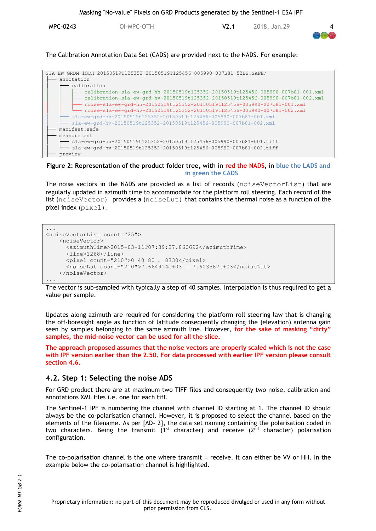

The Calibration Annotation Data Set (CADS) are provided next to the NADS. For example:



**Figure 2: Representation of the product folder tree, with in red the NADS, in blue the LADS and in green the CADS**

The noise vectors in the NADS are provided as a list of records (noiseVectorList) that are regularly updated in azimuth time to accommodate for the platform roll steering. Each record of the list (noiseVector) provides a (noiseLut) that contains the thermal noise as a function of the pixel index (pixel).

```
...
<noiseVectorList count="25">
     <noiseVector>
       <azimuthTime>2015-03-11T07:39:27.860692</azimuthTime>
       <line>1268</line>
       <pixel count="210">0 40 80 … 8330</pixel>
       <noiseLut count="210">7.664914e+03 … 7.603582e+03</noiseLut>
     </noiseVector>
...
```
The vector is sub-sampled with typically a step of 40 samples. Interpolation is thus required to get a value per sample.

Updates along azimuth are required for considering the platform roll steering law that is changing the off-boresight angle as function of latitude consequently changing the (elevation) antenna gain seen by samples belonging to the same azimuth line. However, **for the sake of masking "dirty" samples, the mid-noise vector can be used for all the slice.**

**The approach proposed assumes that the noise vectors are properly scaled which is not the case with IPF version earlier than the 2.50. For data processed with earlier IPF version please consult section [4.6.](#page-10-1)**

#### <span id="page-7-0"></span>**4.2. Step 1: Selecting the noise ADS**

For GRD product there are at maximum two TIFF files and consequently two noise, calibration and annotations XML files i.e. one for each tiff.

The Sentinel-1 IPF is numbering the channel with channel ID starting at 1. The channel ID should always be the co-polarisation channel. However, it is proposed to select the channel based on the elements of the filename. As per [AD- 2]**,** the data set naming containing the polarisation coded in two characters. Being the transmit ( $1<sup>st</sup>$  character) and receive ( $2<sup>nd</sup>$  character) polarisation configuration.

The co-polarisation channel is the one where transmit = receive. It can either be VV or HH. In the example below the co-polarisation channel is highlighted.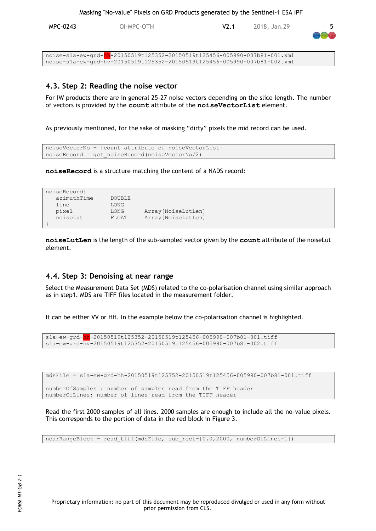MPC-0243 OI-MPC-OTH V2.1 2018, Jan.29 5

| noise-s1a-ew-grd-hh-20150519t125352-20150519t125456-005990-007b81-001.xml |
|---------------------------------------------------------------------------|
| noise-s1a-ew-grd-hv-20150519t125352-20150519t125456-005990-007b81-002.xml |

#### <span id="page-8-0"></span>**4.3. Step 2: Reading the noise vector**

For IW products there are in general 25-27 noise vectors depending on the slice length. The number of vectors is provided by the **count** attribute of the **noiseVectorList** element.

As previously mentioned, for the sake of masking "dirty" pixels the mid record can be used.

```
noiseVectorNo = {count attribute of noiseVectorList}
noiseRecord = get_noiseRecord(noiseVectorNo/2)
```
**noiseRecord** is a structure matching the content of a NADS record:

```
noiseRecord{
   azimuthTime DOUBLE 
   line LONG 
   pixel LONG Array[NoiseLutLen]
   noiseLut FLOAT Array[NoiseLutLen]
}
```
**noiseLutLen** is the length of the sub-sampled vector given by the **count** attribute of the noiseLut element.

#### <span id="page-8-1"></span>**4.4. Step 3: Denoising at near range**

Select the Measurement Data Set (MDS) related to the co-polarisation channel using similar approach as in step1. MDS are TIFF files located in the measurement folder.

It can be either VV or HH. In the example below the co-polarisation channel is highlighted.

```
s1a-ew-grd-hh-20150519t125352-20150519t125456-005990-007b81-001.tiff
s1a-ew-grd-hv-20150519t125352-20150519t125456-005990-007b81-002.tiff
```
mdsFile = s1a-ew-grd-hh-20150519t125352-20150519t125456-005990-007b81-001.tiff

```
numberOfSamples : number of samples read from the TIFF header
numberOfLines: number of lines read from the TIFF header
```
Read the first 2000 samples of all lines. 2000 samples are enough to include all the no-value pixels. This corresponds to the portion of data in the red block in [Figure 3.](#page-9-1)

 $nearRangeBlock = read tiff(mdsFile, sub rect=[0,0,2000, numberOfLines-1])$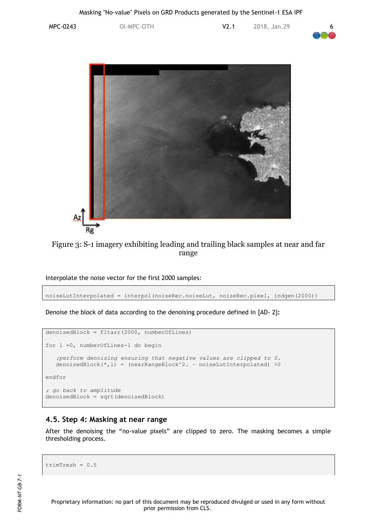MPC-0243 OI-MPC-OTH V2.1 2018, Jan.29 6





Figure 3: S-1 imagery exhibiting leading and trailing black samples at near and far range

<span id="page-9-1"></span>Interpolate the noise vector for the first 2000 samples:

noiseLutInterpolated = interpol(noiseRec.noiseLut, noiseRec.pixel, indgen(2000))

Denoise the block of data according to the denoising procedure defined in [AD- 2]**:**

```
denoisedBlock = fltarr(2000, numberOfLines)
for l =0, numberOfLines-1 do begin
    ;perform denoising ensuring that negative values are clipped to 0. 
    denoisedBlock(*,l) = (nearRangeBlock^2. – noiseLutInterpolated) >0
endfor
; go back to amplitude
denoisedBlock = sqrt(denoisedBlock)
```
#### <span id="page-9-0"></span>**4.5. Step 4: Masking at near range**

After the denoising the "no-value pixels" are clipped to zero. The masking becomes a simple thresholding process.

```
trimTresh = 0.5
```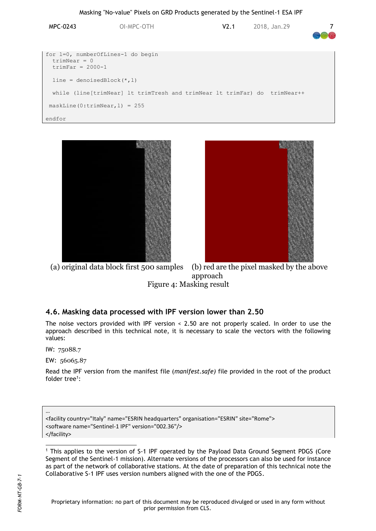| MPC-0243                                                                  | OI-MPC-OTH                                                                | V <sub>2.1</sub> | 2018, Jan.29 |  |
|---------------------------------------------------------------------------|---------------------------------------------------------------------------|------------------|--------------|--|
| for 1=0, numberOfLines-1 do begin<br>$trimNear = 0$<br>trimFar = $2000-1$ |                                                                           |                  |              |  |
| $line = denoisedBlock(*, 1)$                                              |                                                                           |                  |              |  |
|                                                                           | while (line[trimNear] lt trimTresh and trimNear lt trimFar) do trimNear++ |                  |              |  |
| $maskLine(0:trimNear, 1) = 255$                                           |                                                                           |                  |              |  |
| endfor                                                                    |                                                                           |                  |              |  |





(a) original data block first 500 samples (b) red are the pixel masked by the above approach Figure 4: Masking result

#### <span id="page-10-1"></span><span id="page-10-0"></span>**4.6. Masking data processed with IPF version lower than 2.50**

The noise vectors provided with IPF version < 2.50 are not properly scaled. In order to use the approach described in this technical note, it is necessary to scale the vectors with the following values:

IW: 75088.7

…

 $\overline{a}$ 

EW: 56065.87

Read the IPF version from the manifest file (*manifest.safe)* file provided in the root of the product folder tree<sup>1</sup>:

<facility country="Italy" name="ESRIN headquarters" organisation="ESRIN" site="Rome"> <software name="Sentinel-1 IPF" version="002.36"/> </facility>

<sup>&</sup>lt;sup>1</sup> This applies to the version of S-1 IPF operated by the Payload Data Ground Segment PDGS (Core Segment of the Sentinel-1 mission). Alternate versions of the processors can also be used for instance as part of the network of collaborative stations. At the date of preparation of this technical note the Collaborative S-1 IPF uses version numbers aligned with the one of the PDGS.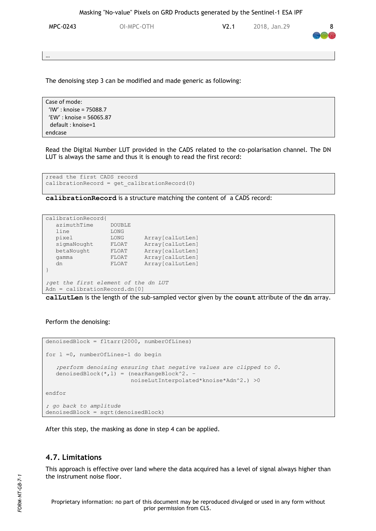MPC-0243 OI-MPC-OTH V2.1 2018, Jan.29 8

…

The denoising step 3 can be modified and made generic as following:

Case of mode: 'IW' : knoise = 75088.7 'EW' : knoise = 56065.87 default : knoise=1 endcase

Read the Digital Number LUT provided in the CADS related to the co-polarisation channel. The DN LUT is always the same and thus it is enough to read the first record:

```
; read the first CADS record
calibrationRecord = get_calibrationRecord(0)
```
**calibrationRecord** is a structure matching the content of a CADS record:

```
calibrationRecord{
   azimuthTime DOUBLE 
  line LONG<br>pixel LONG
   pixel LONG Array[calLutLen]<br>sigmaNought FLOAT Array[calLutLen]<br>betaNought FLOAT Array[calLutLen]
 sigmaNought FLOAT Array[calLutLen]
 betaNought FLOAT Array[calLutLen]
    gamma FLOAT Array[calLutLen]
   dn FLOAT Array[calLutLen]
}
;get the first element of the dn LUT
Adn = calibrationRecord.dn[0]
```
**calLutLen** is the length of the sub-sampled vector given by the **count** attribute of the **dn** array.

#### Perform the denoising:

```
denoisedBlock = fltarr(2000, numberOfLines)
for l =0, numberOfLines-1 do begin
    ;perform denoising ensuring that negative values are clipped to 0. 
    denoisedBlock(*,l) = (nearRangeBlock^2. –
                          noiseLutInterpolated*knoise*Adn^2.) >0
endfor
; go back to amplitude
denoisedBlock = sqrt(denoisedBlock)
```
After this step, the masking as done in step 4 can be applied.

#### <span id="page-11-0"></span>**4.7. Limitations**

This approach is effective over land where the data acquired has a level of signal always higher than the instrument noise floor.

Proprietary information: no part of this document may be reproduced divulged or used in any form without prior permission from CLS.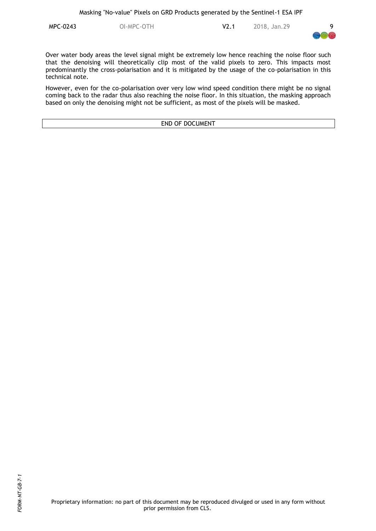**MPC-0243** OI-MPC-OTH V2.1 2018, Jan.29 9



Over water body areas the level signal might be extremely low hence reaching the noise floor such that the denoising will theoretically clip most of the valid pixels to zero. This impacts most predominantly the cross-polarisation and it is mitigated by the usage of the co-polarisation in this technical note.

However, even for the co-polarisation over very low wind speed condition there might be no signal coming back to the radar thus also reaching the noise floor. In this situation, the masking approach based on only the denoising might not be sufficient, as most of the pixels will be masked.

END OF DOCUMENT